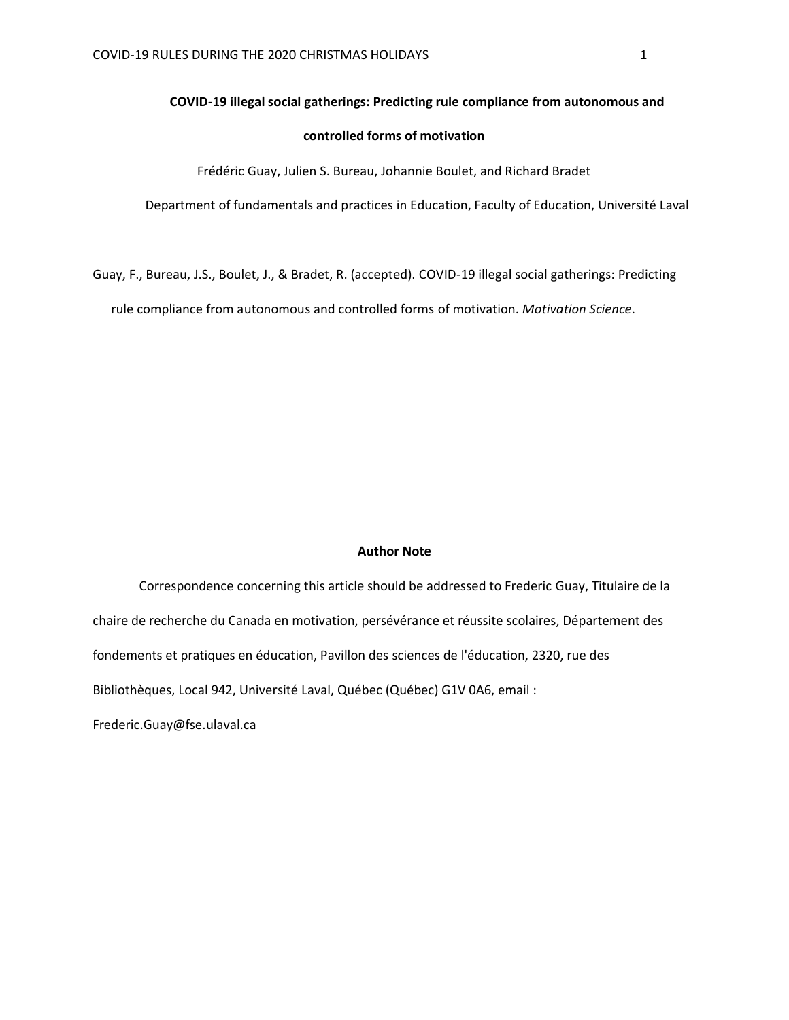#### **COVID-19 illegal social gatherings: Predicting rule compliance from autonomous and**

# **controlled forms of motivation**

Frédéric Guay, Julien S. Bureau, Johannie Boulet, and Richard Bradet

Department of fundamentals and practices in Education, Faculty of Education, Université Laval

Guay, F., Bureau, J.S., Boulet, J., & Bradet, R. (accepted). COVID-19 illegal social gatherings: Predicting rule compliance from autonomous and controlled forms of motivation. *Motivation Science*.

#### **Author Note**

Correspondence concerning this article should be addressed to Frederic Guay, Titulaire de la chaire de recherche du Canada en motivation, persévérance et réussite scolaires, Département des fondements et pratiques en éducation, Pavillon des sciences de l'éducation, 2320, rue des Bibliothèques, Local 942, Université Laval, Québec (Québec) G1V 0A6, email :

Frederic.Guay@fse.ulaval.ca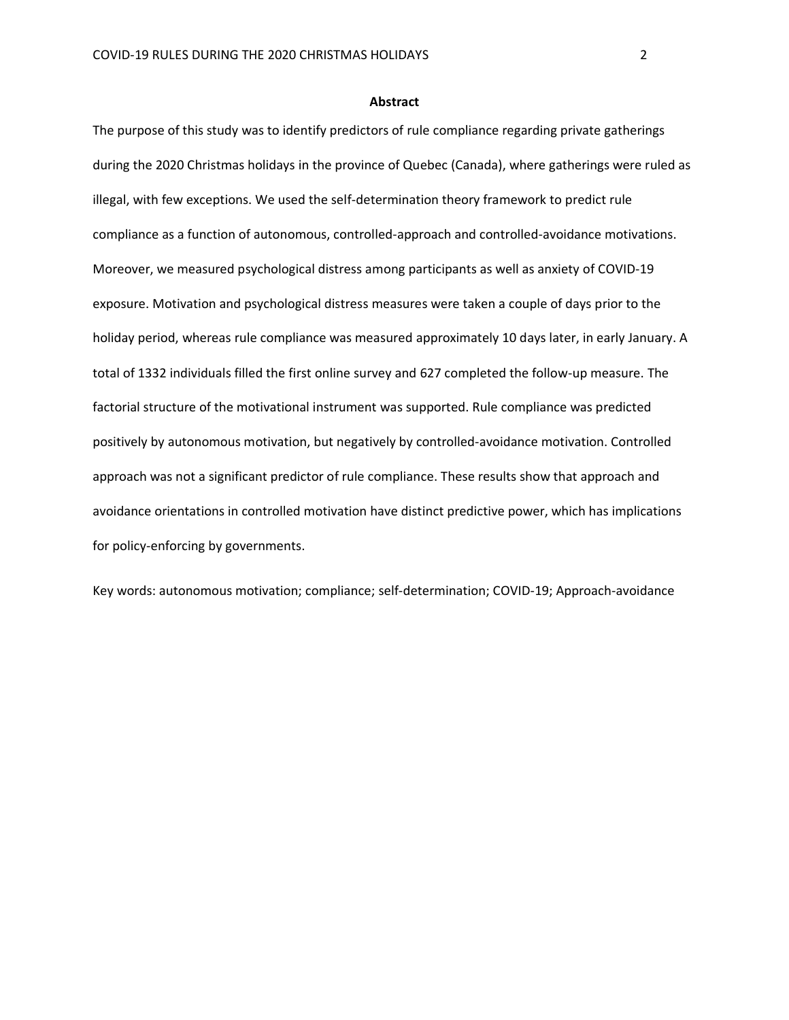#### **Abstract**

The purpose of this study was to identify predictors of rule compliance regarding private gatherings during the 2020 Christmas holidays in the province of Quebec (Canada), where gatherings were ruled as illegal, with few exceptions. We used the self-determination theory framework to predict rule compliance as a function of autonomous, controlled-approach and controlled-avoidance motivations. Moreover, we measured psychological distress among participants as well as anxiety of COVID-19 exposure. Motivation and psychological distress measures were taken a couple of days prior to the holiday period, whereas rule compliance was measured approximately 10 days later, in early January. A total of 1332 individuals filled the first online survey and 627 completed the follow-up measure. The factorial structure of the motivational instrument was supported. Rule compliance was predicted positively by autonomous motivation, but negatively by controlled-avoidance motivation. Controlled approach was not a significant predictor of rule compliance. These results show that approach and avoidance orientations in controlled motivation have distinct predictive power, which has implications for policy-enforcing by governments.

Key words: autonomous motivation; compliance; self-determination; COVID-19; Approach-avoidance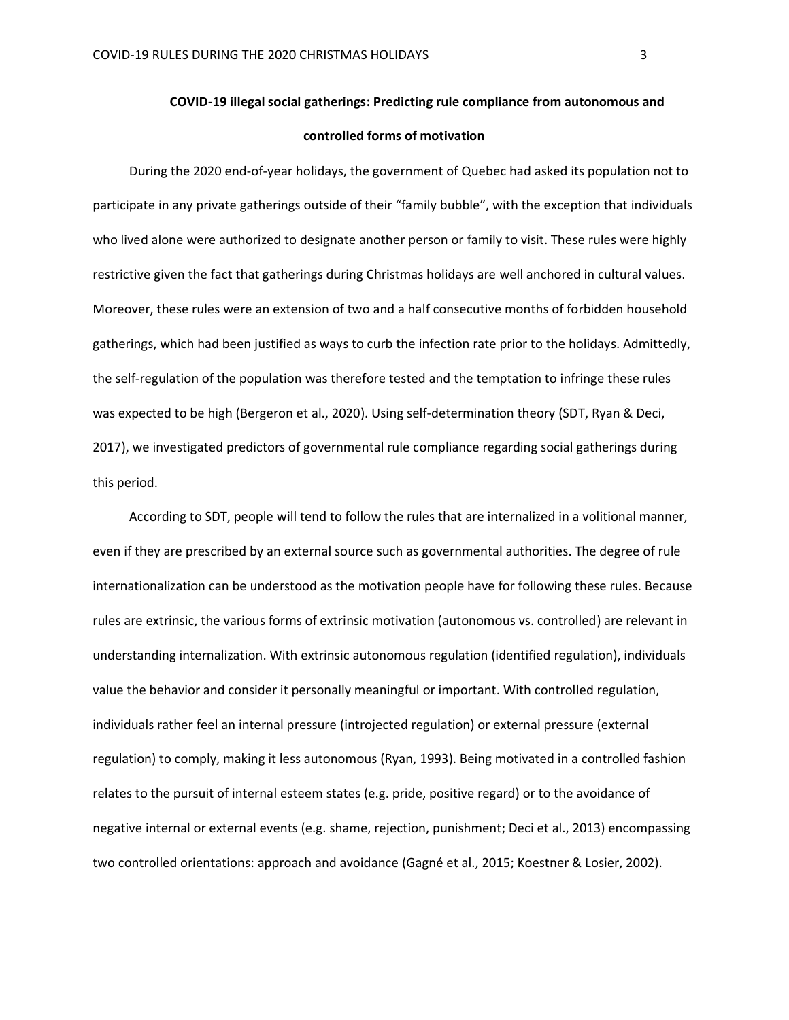### **controlled forms of motivation**

During the 2020 end-of-year holidays, the government of Quebec had asked its population not to participate in any private gatherings outside of their "family bubble", with the exception that individuals who lived alone were authorized to designate another person or family to visit. These rules were highly restrictive given the fact that gatherings during Christmas holidays are well anchored in cultural values. Moreover, these rules were an extension of two and a half consecutive months of forbidden household gatherings, which had been justified as ways to curb the infection rate prior to the holidays. Admittedly, the self-regulation of the population was therefore tested and the temptation to infringe these rules was expected to be high (Bergeron et al., 2020). Using self-determination theory (SDT, Ryan & Deci, 2017), we investigated predictors of governmental rule compliance regarding social gatherings during this period.

According to SDT, people will tend to follow the rules that are internalized in a volitional manner, even if they are prescribed by an external source such as governmental authorities. The degree of rule internationalization can be understood as the motivation people have for following these rules. Because rules are extrinsic, the various forms of extrinsic motivation (autonomous vs. controlled) are relevant in understanding internalization. With extrinsic autonomous regulation (identified regulation), individuals value the behavior and consider it personally meaningful or important. With controlled regulation, individuals rather feel an internal pressure (introjected regulation) or external pressure (external regulation) to comply, making it less autonomous (Ryan, 1993). Being motivated in a controlled fashion relates to the pursuit of internal esteem states (e.g. pride, positive regard) or to the avoidance of negative internal or external events (e.g. shame, rejection, punishment; Deci et al., 2013) encompassing two controlled orientations: approach and avoidance (Gagné et al., 2015; Koestner & Losier, 2002).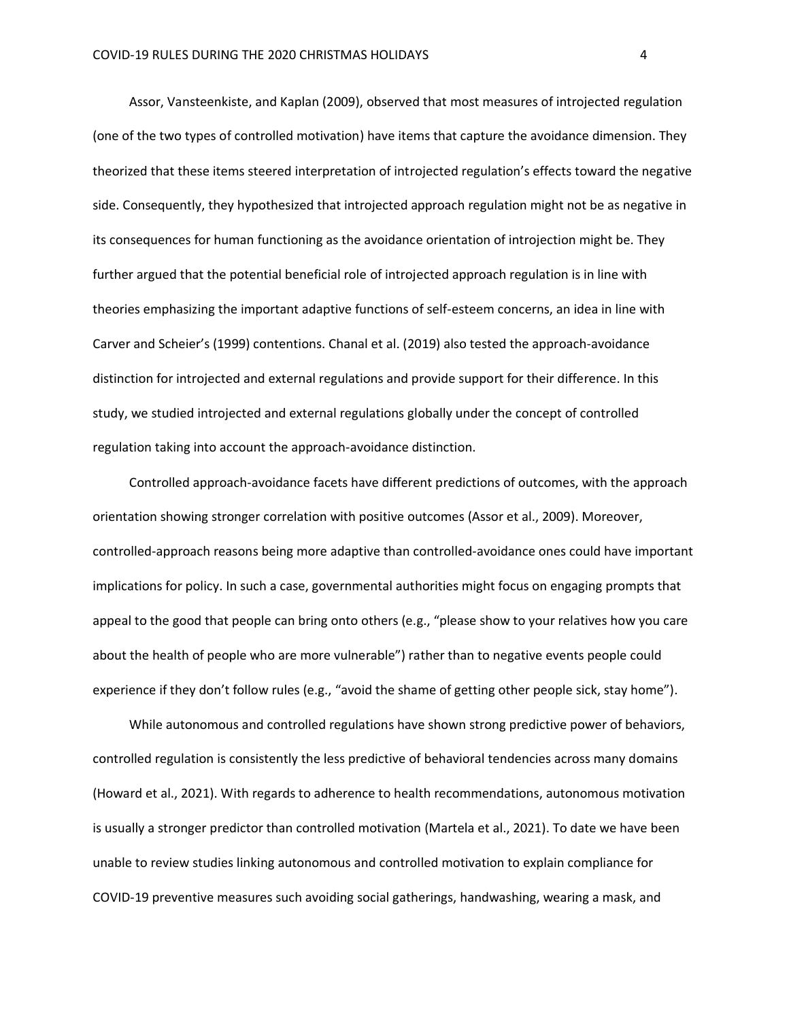Assor, Vansteenkiste, and Kaplan (2009), observed that most measures of introjected regulation (one of the two types of controlled motivation) have items that capture the avoidance dimension. They theorized that these items steered interpretation of introjected regulation's effects toward the negative side. Consequently, they hypothesized that introjected approach regulation might not be as negative in its consequences for human functioning as the avoidance orientation of introjection might be. They further argued that the potential beneficial role of introjected approach regulation is in line with theories emphasizing the important adaptive functions of self-esteem concerns, an idea in line with Carver and Scheier's (1999) contentions. Chanal et al. (2019) also tested the approach-avoidance distinction for introjected and external regulations and provide support for their difference. In this study, we studied introjected and external regulations globally under the concept of controlled regulation taking into account the approach-avoidance distinction.

Controlled approach-avoidance facets have different predictions of outcomes, with the approach orientation showing stronger correlation with positive outcomes (Assor et al., 2009). Moreover, controlled-approach reasons being more adaptive than controlled-avoidance ones could have important implications for policy. In such a case, governmental authorities might focus on engaging prompts that appeal to the good that people can bring onto others (e.g., "please show to your relatives how you care about the health of people who are more vulnerable") rather than to negative events people could experience if they don't follow rules (e.g., "avoid the shame of getting other people sick, stay home").

While autonomous and controlled regulations have shown strong predictive power of behaviors, controlled regulation is consistently the less predictive of behavioral tendencies across many domains (Howard et al., 2021). With regards to adherence to health recommendations, autonomous motivation is usually a stronger predictor than controlled motivation (Martela et al., 2021). To date we have been unable to review studies linking autonomous and controlled motivation to explain compliance for COVID-19 preventive measures such avoiding social gatherings, handwashing, wearing a mask, and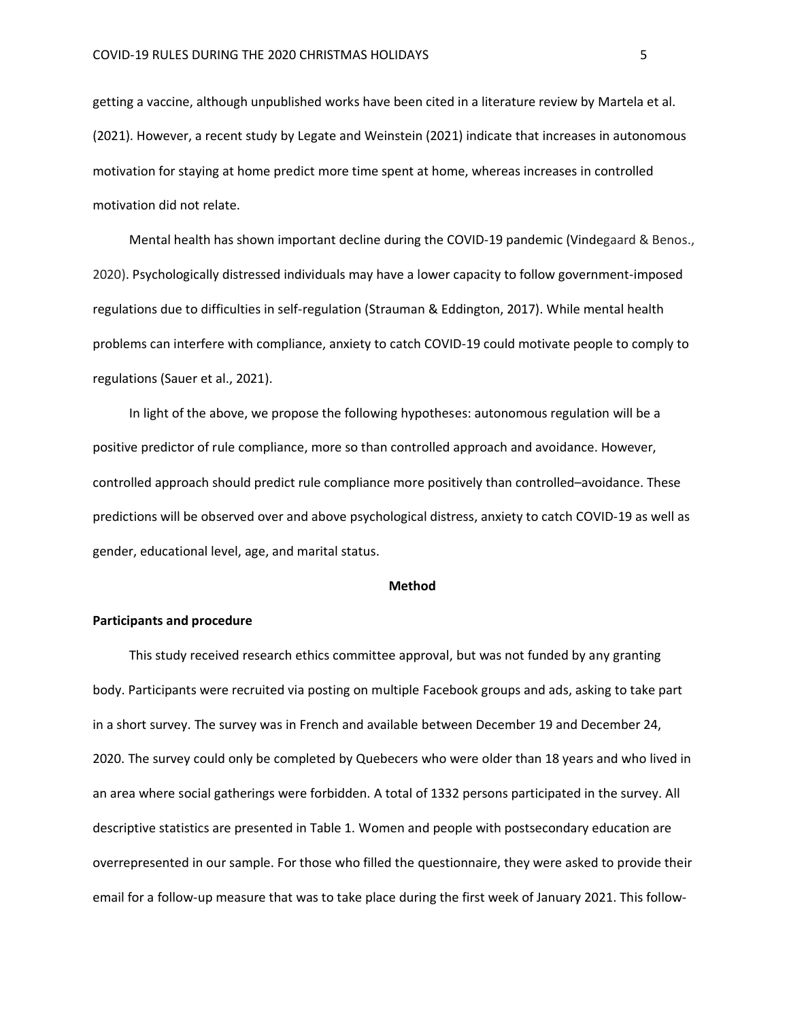getting a vaccine, although unpublished works have been cited in a literature review by Martela et al. (2021). However, a recent study by Legate and Weinstein (2021) indicate that increases in autonomous motivation for staying at home predict more time spent at home, whereas increases in controlled motivation did not relate.

Mental health has shown important decline during the COVID-19 pandemic (Vindegaard & Benos., 2020). Psychologically distressed individuals may have a lower capacity to follow government-imposed regulations due to difficulties in self-regulation (Strauman & Eddington, 2017). While mental health problems can interfere with compliance, anxiety to catch COVID-19 could motivate people to comply to regulations (Sauer et al., 2021).

In light of the above, we propose the following hypotheses: autonomous regulation will be a positive predictor of rule compliance, more so than controlled approach and avoidance. However, controlled approach should predict rule compliance more positively than controlled–avoidance. These predictions will be observed over and above psychological distress, anxiety to catch COVID-19 as well as gender, educational level, age, and marital status.

#### **Method**

#### **Participants and procedure**

This study received research ethics committee approval, but was not funded by any granting body. Participants were recruited via posting on multiple Facebook groups and ads, asking to take part in a short survey. The survey was in French and available between December 19 and December 24, 2020. The survey could only be completed by Quebecers who were older than 18 years and who lived in an area where social gatherings were forbidden. A total of 1332 persons participated in the survey. All descriptive statistics are presented in Table 1. Women and people with postsecondary education are overrepresented in our sample. For those who filled the questionnaire, they were asked to provide their email for a follow-up measure that was to take place during the first week of January 2021. This follow-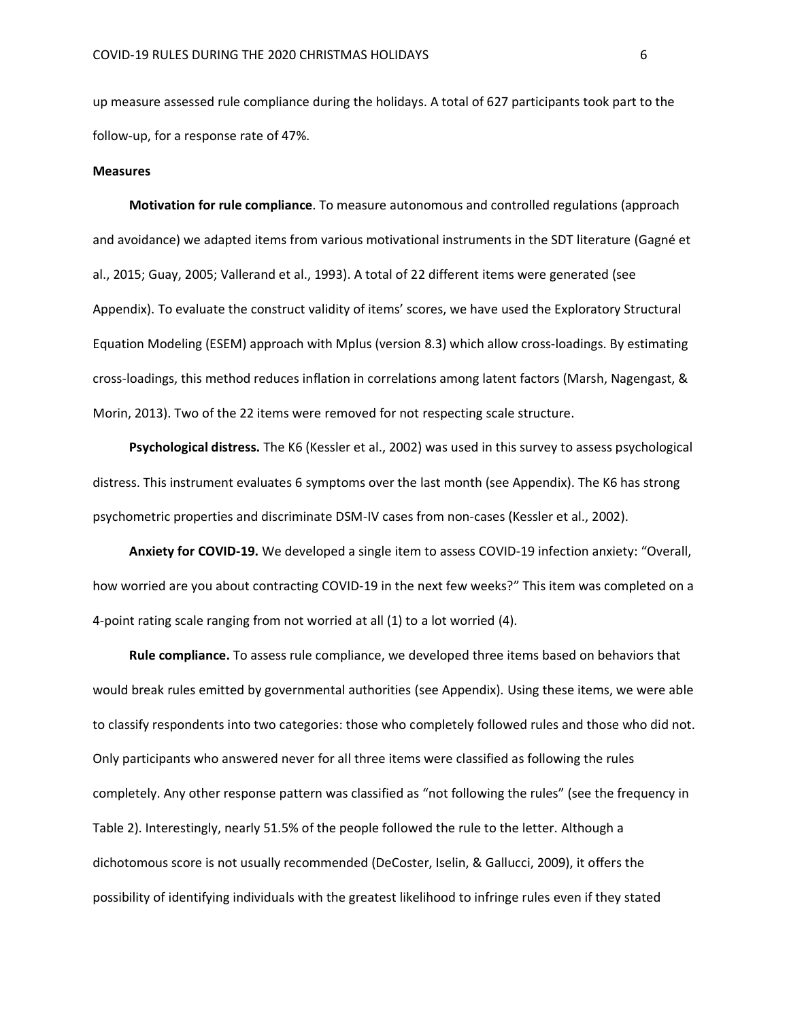up measure assessed rule compliance during the holidays. A total of 627 participants took part to the follow-up, for a response rate of 47%.

#### **Measures**

**Motivation for rule compliance**. To measure autonomous and controlled regulations (approach and avoidance) we adapted items from various motivational instruments in the SDT literature (Gagné et al., 2015; Guay, 2005; Vallerand et al., 1993). A total of 22 different items were generated (see Appendix). To evaluate the construct validity of items' scores, we have used the Exploratory Structural Equation Modeling (ESEM) approach with Mplus (version 8.3) which allow cross-loadings. By estimating cross-loadings, this method reduces inflation in correlations among latent factors (Marsh, Nagengast, & Morin, 2013). Two of the 22 items were removed for not respecting scale structure.

**Psychological distress.** The K6 (Kessler et al., 2002) was used in this survey to assess psychological distress. This instrument evaluates 6 symptoms over the last month (see Appendix). The K6 has strong psychometric properties and discriminate DSM-IV cases from non-cases (Kessler et al., 2002).

**Anxiety for COVID-19.** We developed a single item to assess COVID-19 infection anxiety: "Overall, how worried are you about contracting COVID-19 in the next few weeks?" This item was completed on a 4-point rating scale ranging from not worried at all (1) to a lot worried (4).

**Rule compliance.** To assess rule compliance, we developed three items based on behaviors that would break rules emitted by governmental authorities (see Appendix). Using these items, we were able to classify respondents into two categories: those who completely followed rules and those who did not. Only participants who answered never for all three items were classified as following the rules completely. Any other response pattern was classified as "not following the rules" (see the frequency in Table 2). Interestingly, nearly 51.5% of the people followed the rule to the letter. Although a dichotomous score is not usually recommended (DeCoster, Iselin, & Gallucci, 2009), it offers the possibility of identifying individuals with the greatest likelihood to infringe rules even if they stated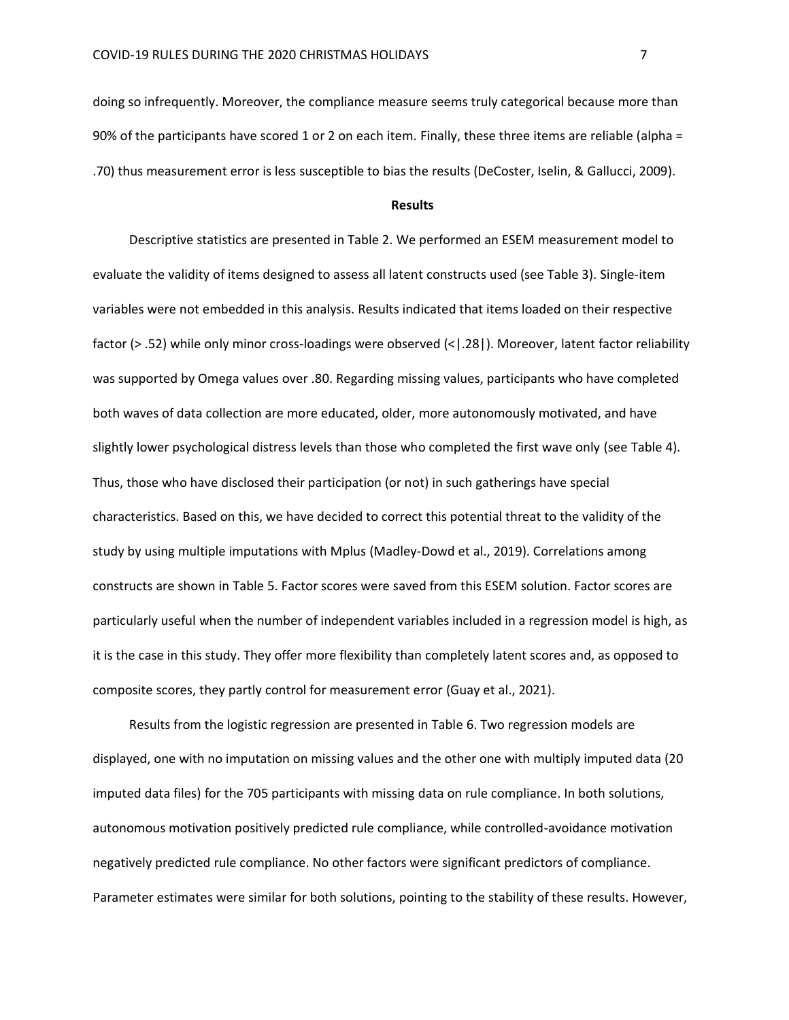doing so infrequently. Moreover, the compliance measure seems truly categorical because more than 90% of the participants have scored 1 or 2 on each item. Finally, these three items are reliable (alpha = .70) thus measurement error is less susceptible to bias the results (DeCoster, Iselin, & Gallucci, 2009).

#### **Results**

Descriptive statistics are presented in Table 2. We performed an ESEM measurement model to evaluate the validity of items designed to assess all latent constructs used (see Table 3). Single-item variables were not embedded in this analysis. Results indicated that items loaded on their respective factor (> .52) while only minor cross-loadings were observed (<|.28|). Moreover, latent factor reliability was supported by Omega values over .80. Regarding missing values, participants who have completed both waves of data collection are more educated, older, more autonomously motivated, and have slightly lower psychological distress levels than those who completed the first wave only (see Table 4). Thus, those who have disclosed their participation (or not) in such gatherings have special characteristics. Based on this, we have decided to correct this potential threat to the validity of the study by using multiple imputations with Mplus (Madley-Dowd et al., 2019). Correlations among constructs are shown in Table 5. Factor scores were saved from this ESEM solution. Factor scores are particularly useful when the number of independent variables included in a regression model is high, as it is the case in this study. They offer more flexibility than completely latent scores and, as opposed to composite scores, they partly control for measurement error (Guay et al., 2021).

Results from the logistic regression are presented in Table 6. Two regression models are displayed, one with no imputation on missing values and the other one with multiply imputed data (20 imputed data files) for the 705 participants with missing data on rule compliance. In both solutions, autonomous motivation positively predicted rule compliance, while controlled-avoidance motivation negatively predicted rule compliance. No other factors were significant predictors of compliance. Parameter estimates were similar for both solutions, pointing to the stability of these results. However,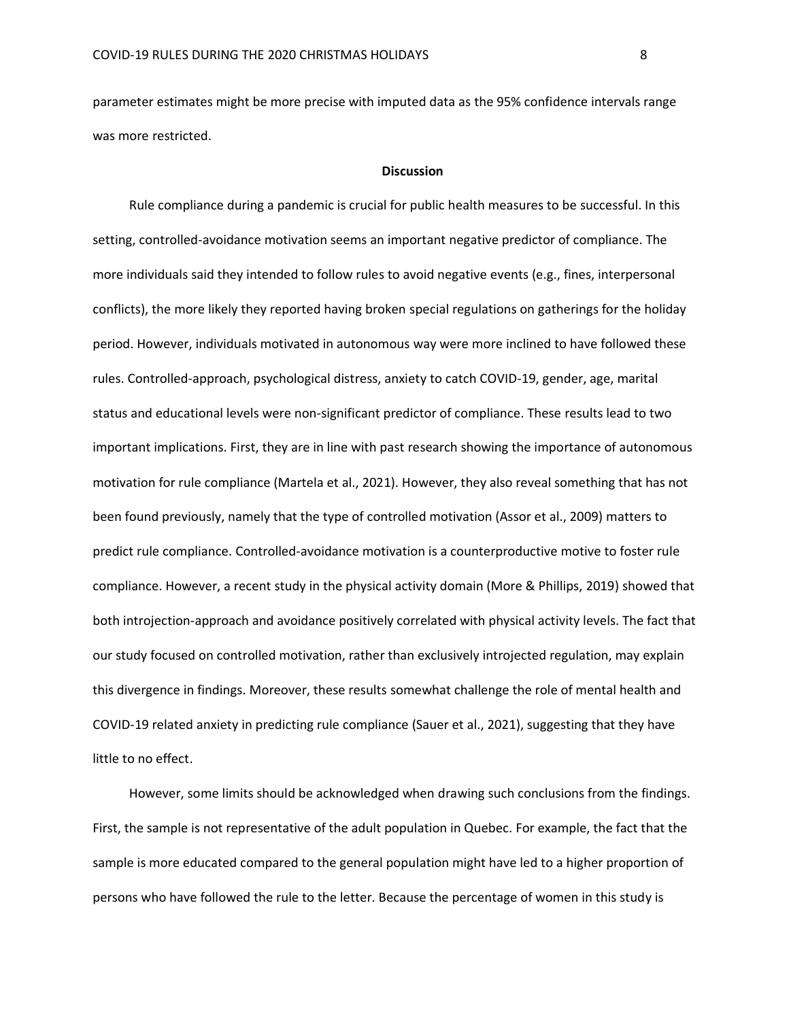parameter estimates might be more precise with imputed data as the 95% confidence intervals range was more restricted.

### **Discussion**

Rule compliance during a pandemic is crucial for public health measures to be successful. In this setting, controlled-avoidance motivation seems an important negative predictor of compliance. The more individuals said they intended to follow rules to avoid negative events (e.g., fines, interpersonal conflicts), the more likely they reported having broken special regulations on gatherings for the holiday period. However, individuals motivated in autonomous way were more inclined to have followed these rules. Controlled-approach, psychological distress, anxiety to catch COVID-19, gender, age, marital status and educational levels were non-significant predictor of compliance. These results lead to two important implications. First, they are in line with past research showing the importance of autonomous motivation for rule compliance (Martela et al., 2021). However, they also reveal something that has not been found previously, namely that the type of controlled motivation (Assor et al., 2009) matters to predict rule compliance. Controlled-avoidance motivation is a counterproductive motive to foster rule compliance. However, a recent study in the physical activity domain (More & Phillips, 2019) showed that both introjection-approach and avoidance positively correlated with physical activity levels. The fact that our study focused on controlled motivation, rather than exclusively introjected regulation, may explain this divergence in findings. Moreover, these results somewhat challenge the role of mental health and COVID-19 related anxiety in predicting rule compliance (Sauer et al., 2021), suggesting that they have little to no effect.

However, some limits should be acknowledged when drawing such conclusions from the findings. First, the sample is not representative of the adult population in Quebec. For example, the fact that the sample is more educated compared to the general population might have led to a higher proportion of persons who have followed the rule to the letter. Because the percentage of women in this study is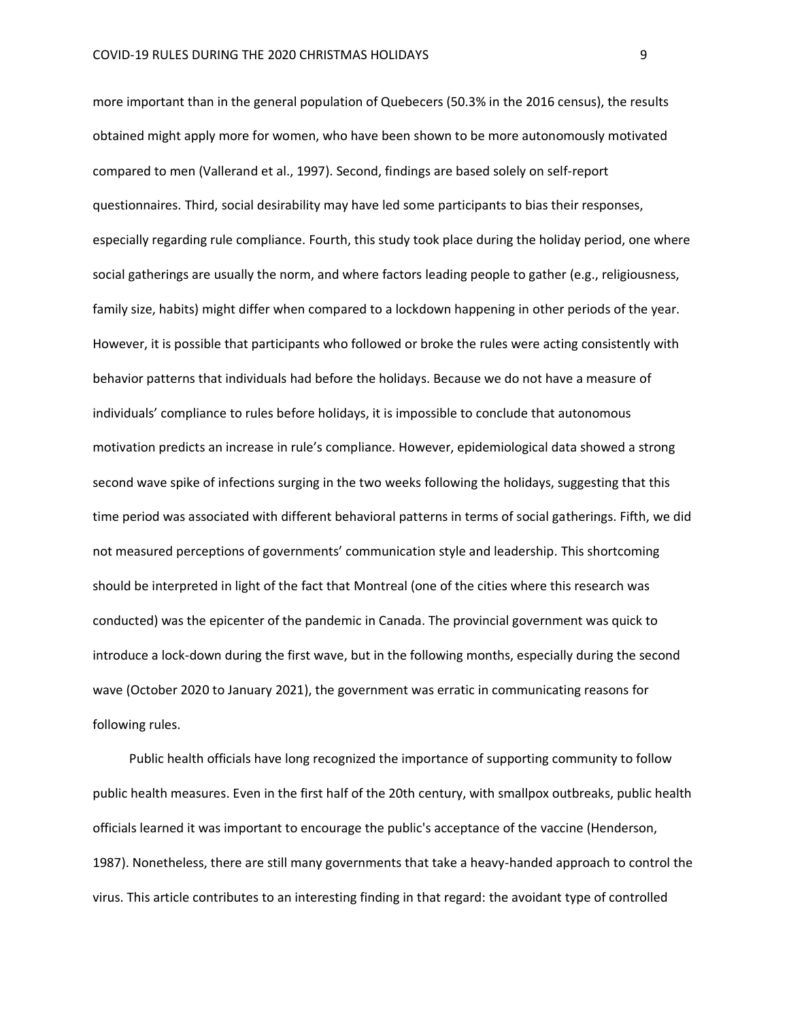more important than in the general population of Quebecers (50.3% in the 2016 census), the results obtained might apply more for women, who have been shown to be more autonomously motivated compared to men (Vallerand et al., 1997). Second, findings are based solely on self-report questionnaires. Third, social desirability may have led some participants to bias their responses, especially regarding rule compliance. Fourth, this study took place during the holiday period, one where social gatherings are usually the norm, and where factors leading people to gather (e.g., religiousness, family size, habits) might differ when compared to a lockdown happening in other periods of the year. However, it is possible that participants who followed or broke the rules were acting consistently with behavior patterns that individuals had before the holidays. Because we do not have a measure of individuals' compliance to rules before holidays, it is impossible to conclude that autonomous motivation predicts an increase in rule's compliance. However, epidemiological data showed a strong second wave spike of infections surging in the two weeks following the holidays, suggesting that this time period was associated with different behavioral patterns in terms of social gatherings. Fifth, we did not measured perceptions of governments' communication style and leadership. This shortcoming should be interpreted in light of the fact that Montreal (one of the cities where this research was conducted) was the epicenter of the pandemic in Canada. The provincial government was quick to introduce a lock-down during the first wave, but in the following months, especially during the second wave (October 2020 to January 2021), the government was erratic in communicating reasons for following rules.

Public health officials have long recognized the importance of supporting community to follow public health measures. Even in the first half of the 20th century, with smallpox outbreaks, public health officials learned it was important to encourage the public's acceptance of the vaccine (Henderson, 1987). Nonetheless, there are still many governments that take a heavy-handed approach to control the virus. This article contributes to an interesting finding in that regard: the avoidant type of controlled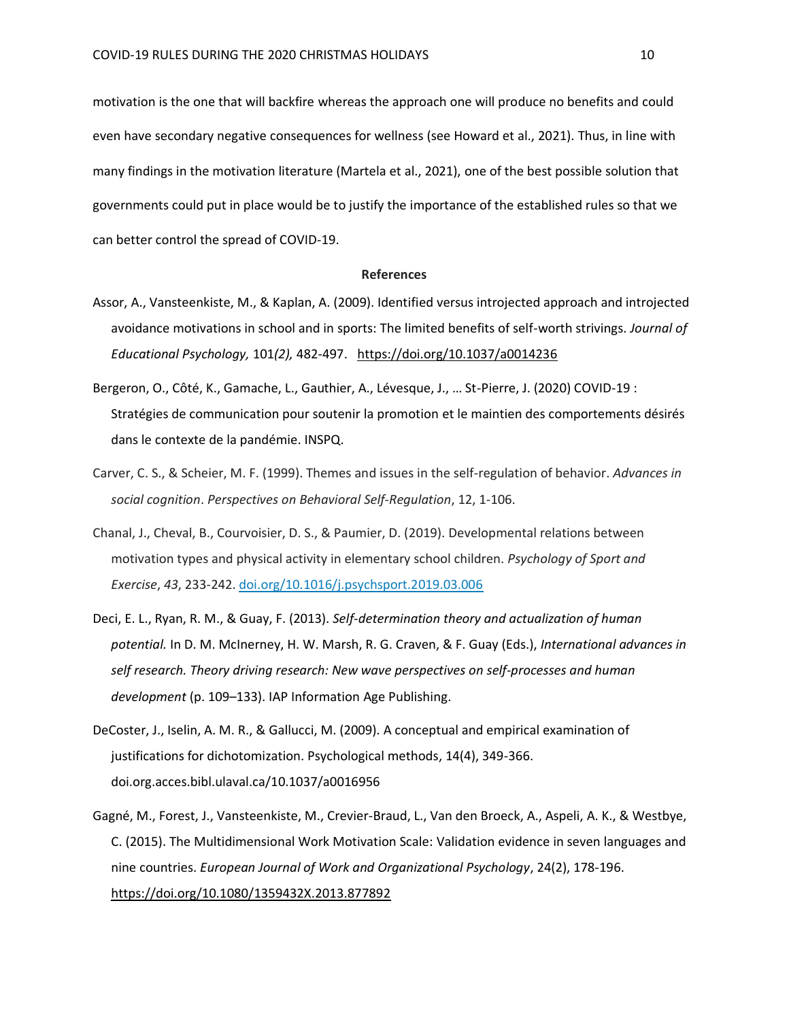motivation is the one that will backfire whereas the approach one will produce no benefits and could even have secondary negative consequences for wellness (see Howard et al., 2021). Thus, in line with many findings in the motivation literature (Martela et al., 2021), one of the best possible solution that governments could put in place would be to justify the importance of the established rules so that we can better control the spread of COVID-19.

#### **References**

- Assor, A., Vansteenkiste, M., & Kaplan, A. (2009). Identified versus introjected approach and introjected avoidance motivations in school and in sports: The limited benefits of self-worth strivings. *Journal of Educational Psychology,* 101*(2),* 482-497. [https://doi.org/10.1037/a0014236](https://psycnet.apa.org/doi/10.1037/a0014236)
- Bergeron, O., Côté, K., Gamache, L., Gauthier, A., Lévesque, J., … St-Pierre, J. (2020) COVID-19 : Stratégies de communication pour soutenir la promotion et le maintien des comportements désirés dans le contexte de la pandémie. INSPQ.
- Carver, C. S., & Scheier, M. F. (1999). Themes and issues in the self-regulation of behavior. *Advances in social cognition*. *Perspectives on Behavioral Self-Regulation*, 12, 1-106.
- Chanal, J., Cheval, B., Courvoisier, D. S., & Paumier, D. (2019). Developmental relations between motivation types and physical activity in elementary school children. *Psychology of Sport and Exercise*, *43*, 233-242. [doi.org/10.1016/j.psychsport.2019.03.006](https://doi.org/10.1016/j.psychsport.2019.03.006)
- Deci, E. L., Ryan, R. M., & Guay, F. (2013). *Self-determination theory and actualization of human potential.* In D. M. McInerney, H. W. Marsh, R. G. Craven, & F. Guay (Eds.), *International advances in self research. Theory driving research: New wave perspectives on self-processes and human development* (p. 109–133). IAP Information Age Publishing.
- DeCoster, J., Iselin, A. M. R., & Gallucci, M. (2009). A conceptual and empirical examination of justifications for dichotomization. Psychological methods, 14(4), 349-366. doi.org.acces.bibl.ulaval.ca/10.1037/a0016956
- Gagné, M., Forest, J., Vansteenkiste, M., Crevier-Braud, L., Van den Broeck, A., Aspeli, A. K., & Westbye, C. (2015). The Multidimensional Work Motivation Scale: Validation evidence in seven languages and nine countries. *European Journal of Work and Organizational Psychology*, 24(2), 178-196. <https://doi.org/10.1080/1359432X.2013.877892>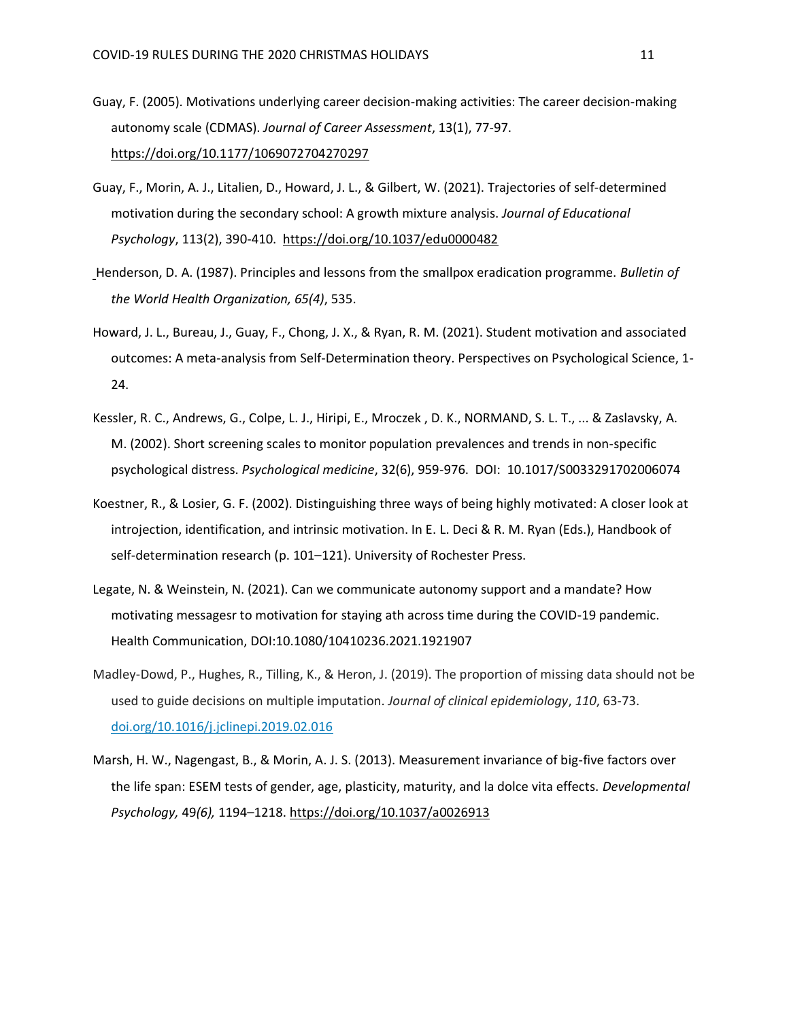- Guay, F. (2005). Motivations underlying career decision-making activities: The career decision-making autonomy scale (CDMAS). *Journal of Career Assessment*, 13(1), 77-97. [https://doi.org/10.1177/1069072704270297](https://doi.org/10.1177%2F1069072704270297)
- Guay, F., Morin, A. J., Litalien, D., Howard, J. L., & Gilbert, W. (2021). Trajectories of self-determined motivation during the secondary school: A growth mixture analysis. *Journal of Educational Psychology*, 113(2), 390-410. [https://doi.org/10.1037/edu0000482](https://psycnet.apa.org/doi/10.1037/edu0000482)
- Henderson, D. A. (1987). Principles and lessons from the smallpox eradication programme. *Bulletin of the World Health Organization, 65(4)*, 535.
- Howard, J. L., Bureau, J., Guay, F., Chong, J. X., & Ryan, R. M. (2021). Student motivation and associated outcomes: A meta-analysis from Self-Determination theory. Perspectives on Psychological Science, 1- 24.
- Kessler, R. C., Andrews, G., Colpe, L. J., Hiripi, E., Mroczek , D. K., NORMAND, S. L. T., ... & Zaslavsky, A. M. (2002). Short screening scales to monitor population prevalences and trends in non-specific psychological distress. *Psychological medicine*, 32(6), 959-976. DOI: 10.1017/S0033291702006074
- Koestner, R., & Losier, G. F. (2002). Distinguishing three ways of being highly motivated: A closer look at introjection, identification, and intrinsic motivation. In E. L. Deci & R. M. Ryan (Eds.), Handbook of self-determination research (p. 101–121). University of Rochester Press.
- Legate, N. & Weinstein, N. (2021). Can we communicate autonomy support and a mandate? How motivating messagesr to motivation for staying ath across time during the COVID-19 pandemic. Health Communication, DOI:10.1080/10410236.2021.1921907
- Madley-Dowd, P., Hughes, R., Tilling, K., & Heron, J. (2019). The proportion of missing data should not be used to guide decisions on multiple imputation. *Journal of clinical epidemiology*, *110*, 63-73. [doi.org/10.1016/j.jclinepi.2019.02.016](https://doi.org/10.1016/j.jclinepi.2019.02.016)
- Marsh, H. W., Nagengast, B., & Morin, A. J. S. (2013). Measurement invariance of big-five factors over the life span: ESEM tests of gender, age, plasticity, maturity, and la dolce vita effects. *Developmental Psychology,* 49*(6),* 1194–1218. [https://doi.org/10.1037/a0026913](https://psycnet.apa.org/doi/10.1037/a0026913)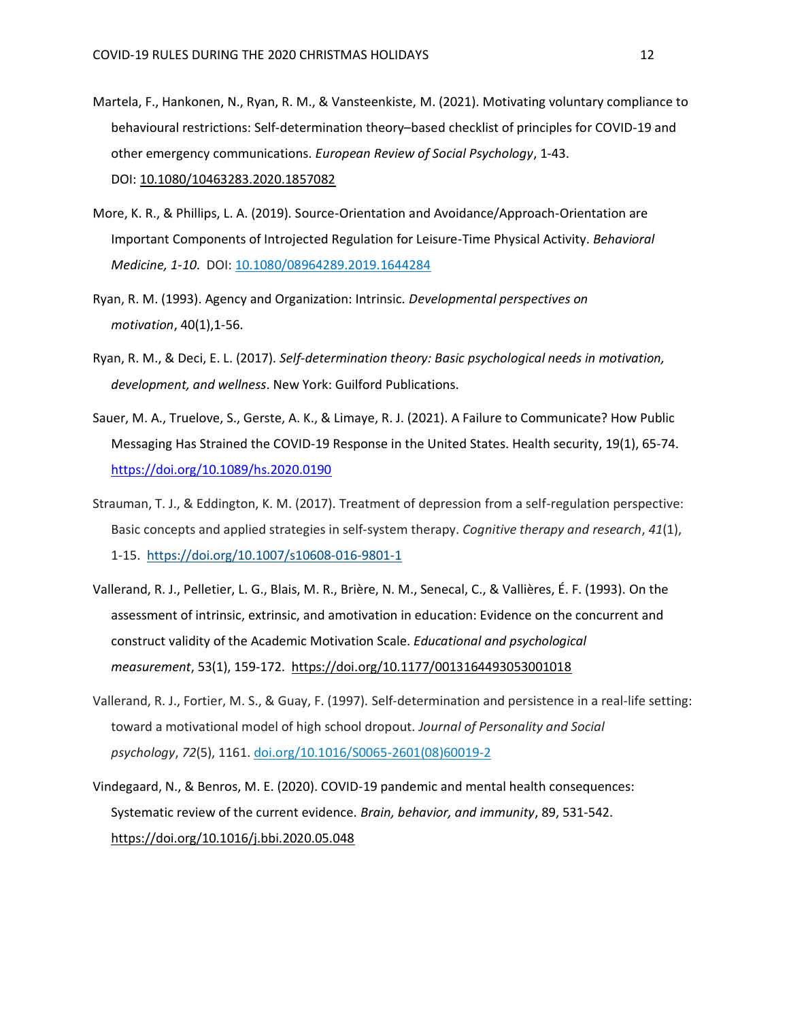- Martela, F., Hankonen, N., Ryan, R. M., & Vansteenkiste, M. (2021). Motivating voluntary compliance to behavioural restrictions: Self-determination theory–based checklist of principles for COVID-19 and other emergency communications. *European Review of Social Psychology*, 1-43. DOI: [10.1080/10463283.2020.1857082](https://doi.org/10.1080/10463283.2020.1857082)
- More, K. R., & Phillips, L. A. (2019). Source-Orientation and Avoidance/Approach-Orientation are Important Components of Introjected Regulation for Leisure-Time Physical Activity. *Behavioral Medicine, 1-10*. DOI: [10.1080/08964289.2019.1644284](https://doi.org/10.1080/08964289.2019.1644284)
- Ryan, R. M. (1993). Agency and Organization: Intrinsic. *Developmental perspectives on motivation*, 40(1),1-56.
- Ryan, R. M., & Deci, E. L. (2017). *Self-determination theory: Basic psychological needs in motivation, development, and wellness*. New York: Guilford Publications.
- Sauer, M. A., Truelove, S., Gerste, A. K., & Limaye, R. J. (2021). A Failure to Communicate? How Public Messaging Has Strained the COVID-19 Response in the United States. Health security, 19(1), 65-74. <https://doi.org/10.1089/hs.2020.0190>
- Strauman, T. J., & Eddington, K. M. (2017). Treatment of depression from a self-regulation perspective: Basic concepts and applied strategies in self-system therapy. *Cognitive therapy and research*, *41*(1), 1-15. <https://doi.org/10.1007/s10608-016-9801-1>
- Vallerand, R. J., Pelletier, L. G., Blais, M. R., Brière, N. M., Senecal, C., & Vallières, É. F. (1993). On the assessment of intrinsic, extrinsic, and amotivation in education: Evidence on the concurrent and construct validity of the Academic Motivation Scale. *Educational and psychological measurement*, 53(1), 159-172. [https://doi.org/10.1177/0013164493053001018](https://doi.org/10.1177%2F0013164493053001018)
- Vallerand, R. J., Fortier, M. S., & Guay, F. (1997). Self-determination and persistence in a real-life setting: toward a motivational model of high school dropout. *Journal of Personality and Social psychology*, *72*(5), 1161. [doi.org/10.1016/S0065-2601\(08\)60019-2](https://doi.org/10.1016/S0065-2601(08)60019-2)
- Vindegaard, N., & Benros, M. E. (2020). COVID-19 pandemic and mental health consequences: Systematic review of the current evidence. *Brain, behavior, and immunity*, 89, 531-542. <https://doi.org/10.1016/j.bbi.2020.05.048>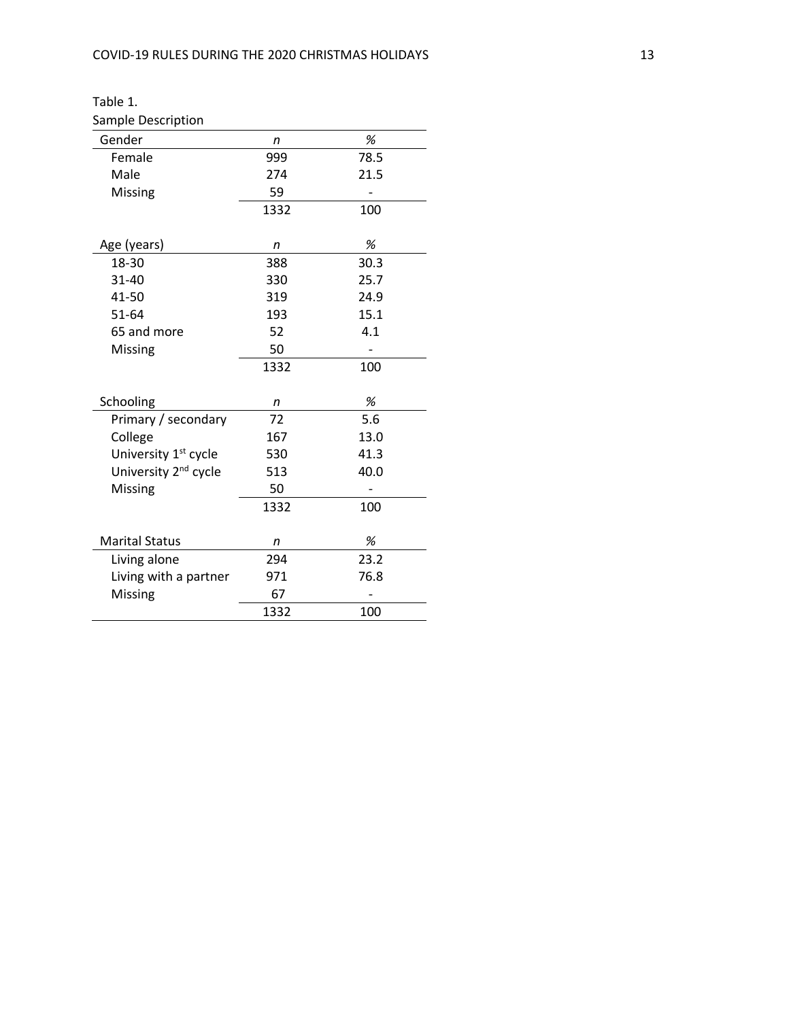| Sample Description               |      |      |
|----------------------------------|------|------|
| Gender                           | n    | %    |
| Female                           | 999  | 78.5 |
| Male                             | 274  | 21.5 |
| Missing                          | 59   |      |
|                                  | 1332 | 100  |
| Age (years)                      | n    | %    |
| 18-30                            | 388  | 30.3 |
| $31 - 40$                        | 330  | 25.7 |
| 41-50                            | 319  | 24.9 |
| $51 - 64$                        | 193  | 15.1 |
| 65 and more                      | 52   | 4.1  |
| Missing                          | 50   |      |
|                                  | 1332 | 100  |
| Schooling                        | n    | %    |
| Primary / secondary              | 72   | 5.6  |
| College                          | 167  | 13.0 |
| University 1 <sup>st</sup> cycle | 530  | 41.3 |
| University 2 <sup>nd</sup> cycle | 513  | 40.0 |
| Missing                          | 50   |      |
|                                  | 1332 | 100  |
| <b>Marital Status</b>            | n    | %    |
| Living alone                     | 294  | 23.2 |
| Living with a partner            | 971  | 76.8 |
| Missing                          | 67   |      |
|                                  | 1332 | 100  |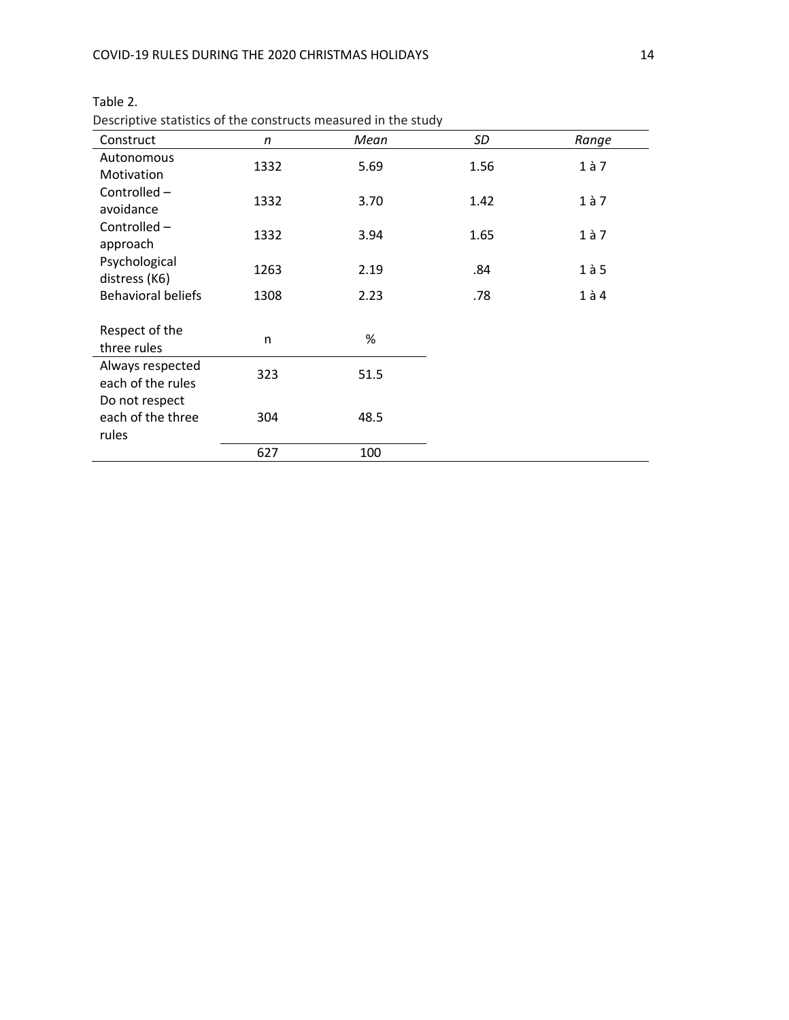| Construct                                    | n    | Mean | SD   | Range     |
|----------------------------------------------|------|------|------|-----------|
| Autonomous<br>Motivation                     | 1332 | 5.69 | 1.56 | $1$ à $7$ |
| Controlled -<br>avoidance                    | 1332 | 3.70 | 1.42 | $1$ à $7$ |
| Controlled-<br>approach                      | 1332 | 3.94 | 1.65 | $1$ à 7   |
| Psychological<br>distress (K6)               | 1263 | 2.19 | .84  | $1$ à 5   |
| <b>Behavioral beliefs</b>                    | 1308 | 2.23 | .78  | $1$ à $4$ |
| Respect of the<br>three rules                | n    | %    |      |           |
| Always respected<br>each of the rules        | 323  | 51.5 |      |           |
| Do not respect<br>each of the three<br>rules | 304  | 48.5 |      |           |
|                                              | 627  | 100  |      |           |

## Table 2.

Descriptive statistics of the constructs measured in the study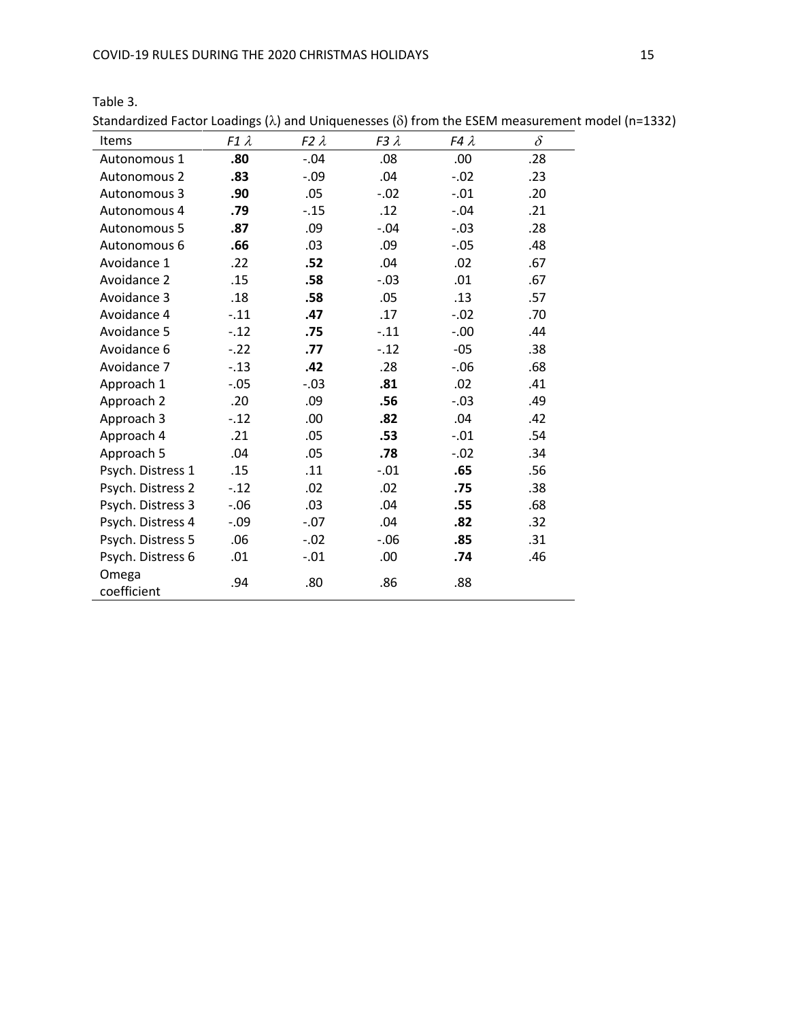Table 3.

| Standardized Factor Loadings ( $\lambda$ ) and Uniquenesses ( $\delta$ ) from the ESEM measurement model ( |             |             |             |             |          |
|------------------------------------------------------------------------------------------------------------|-------------|-------------|-------------|-------------|----------|
| Items                                                                                                      | $F1\lambda$ | $F2\lambda$ | $F3\lambda$ | $FA\lambda$ | $\delta$ |
| Autonomous 1                                                                                               | .80         | $-.04$      | .08         | .00         | .28      |
| Autonomous 2                                                                                               | .83         | $-.09$      | .04         | $-.02$      | .23      |
| Autonomous 3                                                                                               | .90         | .05         | $-.02$      | $-.01$      | .20      |
| Autonomous 4                                                                                               | .79         | $-.15$      | .12         | $-.04$      | .21      |
| Autonomous 5                                                                                               | .87         | .09         | $-.04$      | $-.03$      | .28      |
| Autonomous 6                                                                                               | .66         | .03         | .09         | $-.05$      | .48      |
| Avoidance 1                                                                                                | .22         | .52         | .04         | .02         | .67      |
| Avoidance 2                                                                                                | .15         | .58         | $-.03$      | .01         | .67      |
| Avoidance 3                                                                                                | .18         | .58         | .05         | .13         | .57      |
| Avoidance 4                                                                                                | $-.11$      | .47         | .17         | $-.02$      | .70      |
| Avoidance 5                                                                                                | $-.12$      | .75         | $-.11$      | $-0.00$     | .44      |
| Avoidance 6                                                                                                | $-.22$      | .77         | $-.12$      | $-05$       | .38      |
| Avoidance 7                                                                                                | $-.13$      | .42         | .28         | $-.06$      | .68      |
| Approach 1                                                                                                 | $-.05$      | $-.03$      | .81         | .02         | .41      |
| Approach 2                                                                                                 | .20         | .09         | .56         | $-.03$      | .49      |
| Approach 3                                                                                                 | $-.12$      | .00         | .82         | .04         | .42      |
| Approach 4                                                                                                 | .21         | .05         | .53         | $-.01$      | .54      |
| Approach 5                                                                                                 | .04         | .05         | .78         | $-.02$      | .34      |
| Psych. Distress 1                                                                                          | .15         | .11         | $-.01$      | .65         | .56      |
| Psych. Distress 2                                                                                          | $-.12$      | .02         | .02         | .75         | .38      |
| Psych. Distress 3                                                                                          | $-0.06$     | .03         | .04         | .55         | .68      |
| Psych. Distress 4                                                                                          | -.09        | $-.07$      | .04         | .82         | .32      |
| Psych. Distress 5                                                                                          | .06         | $-.02$      | $-.06$      | .85         | .31      |
| Psych. Distress 6                                                                                          | .01         | $-.01$      | .00         | .74         | .46      |
| Omega<br>coefficient                                                                                       | .94         | .80         | .86         | .88         |          |

Standardized Factor Loadings ( $\lambda$ ) and Uniquenesses ( $\delta$ ) from the ESEM measurement model (n=1332)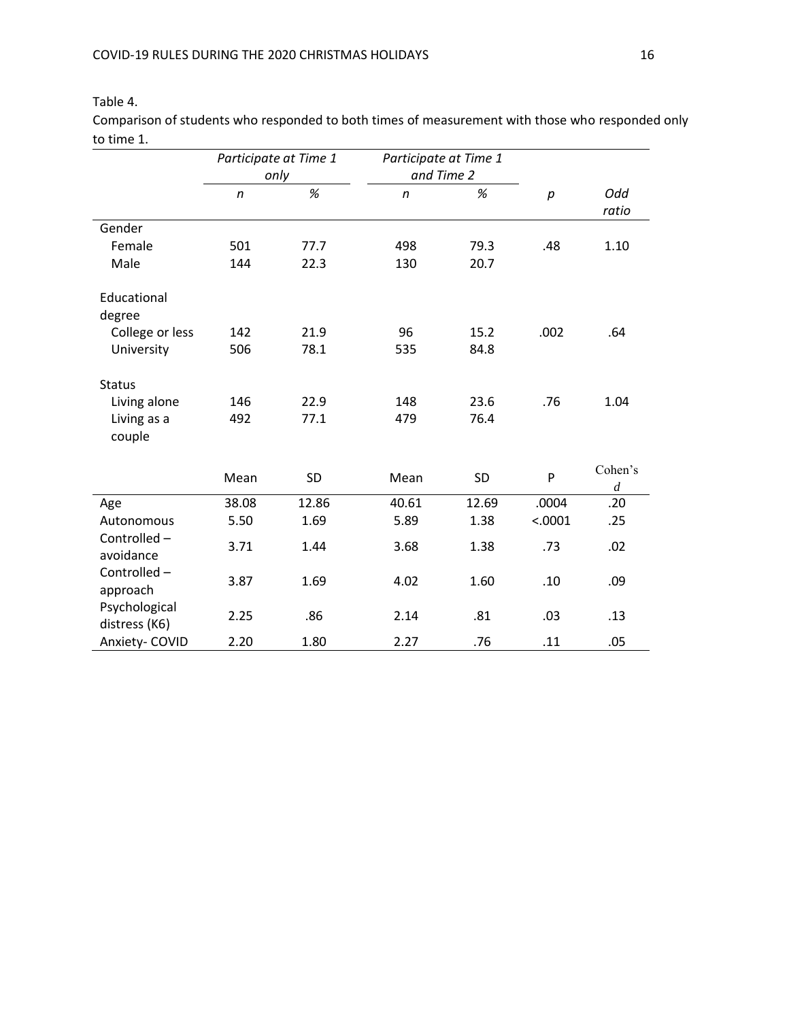# Table 4.

Comparison of students who responded to both times of measurement with those who responded only to time 1.

|                                | Participate at Time 1<br>only |       | Participate at Time 1 |       |         |                             |
|--------------------------------|-------------------------------|-------|-----------------------|-------|---------|-----------------------------|
|                                |                               |       | and Time 2            |       |         |                             |
|                                | $\mathsf{n}$                  | $\%$  | $\mathsf{n}$          | %     | p       | Odd                         |
|                                |                               |       |                       |       |         | ratio                       |
| Gender                         |                               |       |                       |       |         |                             |
| Female                         | 501                           | 77.7  | 498                   | 79.3  | .48     | 1.10                        |
| Male                           | 144                           | 22.3  | 130                   | 20.7  |         |                             |
| Educational<br>degree          |                               |       |                       |       |         |                             |
| College or less                | 142                           | 21.9  | 96                    | 15.2  | .002    | .64                         |
| University                     | 506                           | 78.1  | 535                   | 84.8  |         |                             |
| <b>Status</b><br>Living alone  | 146                           | 22.9  | 148                   | 23.6  | .76     | 1.04                        |
| Living as a<br>couple          | 492                           | 77.1  | 479                   | 76.4  |         |                             |
|                                | Mean                          | SD    | Mean                  | SD    | P       | Cohen's<br>$\boldsymbol{d}$ |
| Age                            | 38.08                         | 12.86 | 40.61                 | 12.69 | .0004   | .20                         |
| Autonomous                     | 5.50                          | 1.69  | 5.89                  | 1.38  | < .0001 | .25                         |
| Controlled-<br>avoidance       | 3.71                          | 1.44  | 3.68                  | 1.38  | .73     | .02                         |
| Controlled-<br>approach        | 3.87                          | 1.69  | 4.02                  | 1.60  | .10     | .09                         |
| Psychological<br>distress (K6) | 2.25                          | .86   | 2.14                  | .81   | .03     | .13                         |
| Anxiety- COVID                 | 2.20                          | 1.80  | 2.27                  | .76   | .11     | .05                         |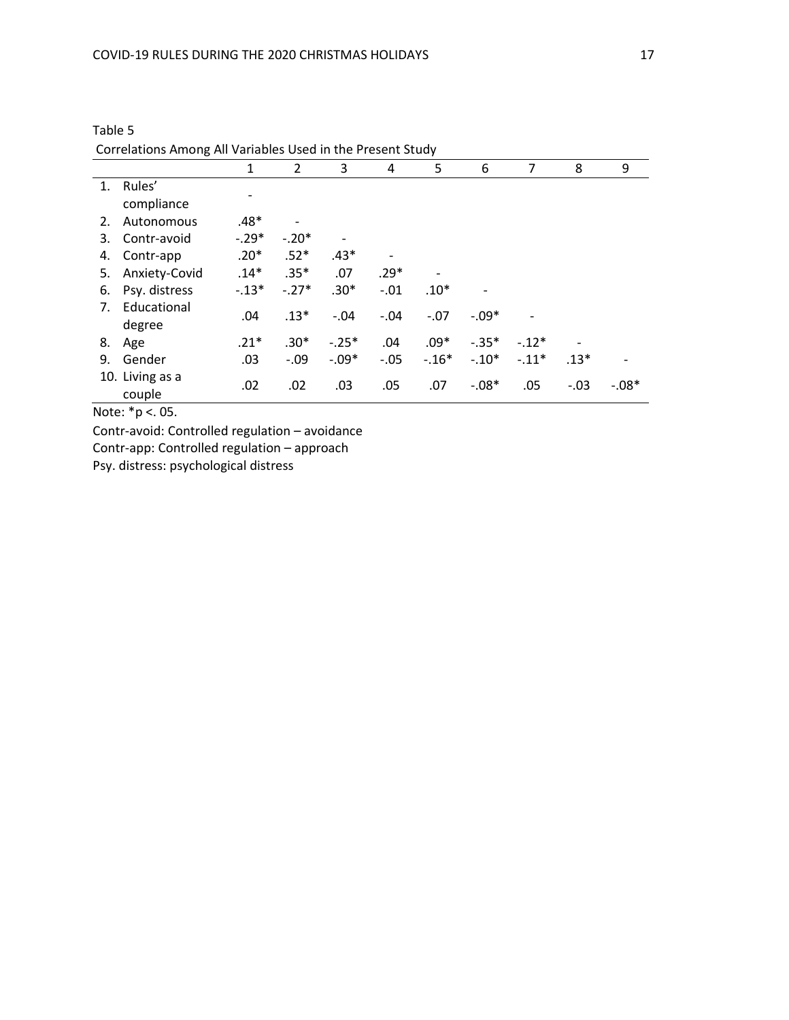|    |                 | 1       | 2                        | 3       | 4      | 5       | 6       | 7       | 8      | 9       |
|----|-----------------|---------|--------------------------|---------|--------|---------|---------|---------|--------|---------|
| 1. | Rules'          |         |                          |         |        |         |         |         |        |         |
|    | compliance      |         |                          |         |        |         |         |         |        |         |
| 2. | Autonomous      | $.48*$  | $\overline{\phantom{0}}$ |         |        |         |         |         |        |         |
| 3. | Contr-avoid     | $-.29*$ | $-.20*$                  |         |        |         |         |         |        |         |
| 4. | Contr-app       | $.20*$  | $.52*$                   | $.43*$  |        |         |         |         |        |         |
| 5. | Anxiety-Covid   | $.14*$  | $.35*$                   | .07     | $.29*$ |         |         |         |        |         |
| 6. | Psy. distress   | $-.13*$ | $-.27*$                  | $.30*$  | $-.01$ | $.10*$  |         |         |        |         |
| 7. | Educational     | .04     | $.13*$                   | $-.04$  | $-.04$ | $-.07$  | $-.09*$ |         |        |         |
|    | degree          |         |                          |         |        |         |         |         |        |         |
| 8. | Age             | $.21*$  | $.30*$                   | $-.25*$ | .04    | $.09*$  | $-.35*$ | $-12*$  |        |         |
| 9. | Gender          | .03     | $-.09$                   | $-.09*$ | $-.05$ | $-.16*$ | $-.10*$ | $-.11*$ | $.13*$ |         |
|    | 10. Living as a | .02     | .02                      | .03     | .05    | .07     | $-.08*$ | .05     | $-.03$ | $-.08*$ |
|    | couple          |         |                          |         |        |         |         |         |        |         |

Table 5 Correlations Among All Variables Used in the Present Study

Note: \*p <. 05.

Contr-avoid: Controlled regulation – avoidance

Contr-app: Controlled regulation – approach

Psy. distress: psychological distress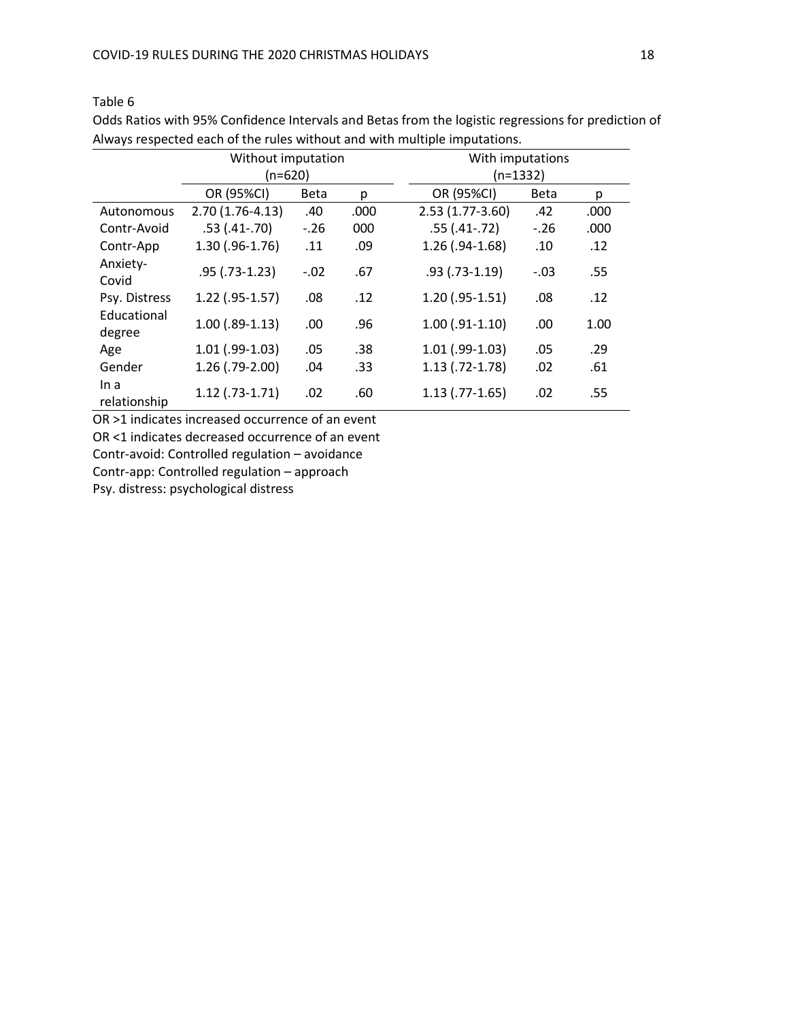Table 6

|                       | Without imputation |             |      | With imputations                    |
|-----------------------|--------------------|-------------|------|-------------------------------------|
|                       | $(n=620)$          |             |      | $(n=1332)$                          |
|                       | OR (95%CI)         | <b>Beta</b> | p    | OR (95%CI)<br><b>Beta</b><br>p      |
| Autonomous            | $2.70(1.76-4.13)$  | .40         | .000 | $2.53(1.77-3.60)$<br>.42<br>.000    |
| Contr-Avoid           | $.53(.41-.70)$     | $-.26$      | 000  | $.55(.41-.72)$<br>$-.26$<br>.000    |
| Contr-App             | $1.30$ (.96-1.76)  | .11         | .09  | $1.26$ (.94-1.68)<br>.12<br>.10     |
| Anxiety-<br>Covid     | $.95$ (.73-1.23)   | $-.02$      | .67  | $.93$ (.73-1.19)<br>.55<br>$-.03$   |
| Psy. Distress         | $1.22$ (.95-1.57)  | .08         | .12  | $1.20$ (.95-1.51)<br>.12<br>.08     |
| Educational<br>degree | $1.00$ (.89-1.13)  | .00         | .96  | $1.00$ $(.91-1.10)$<br>.00.<br>1.00 |
| Age                   | $1.01$ (.99-1.03)  | .05         | .38  | $1.01$ (.99-1.03)<br>.05<br>.29     |
| Gender                | $1.26$ (.79-2.00)  | .04         | .33  | $1.13$ (.72-1.78)<br>.02<br>.61     |
| In a<br>relationship  | $1.12$ (.73-1.71)  | .02         | .60  | $1.13$ (.77-1.65)<br>.02<br>.55     |

Odds Ratios with 95% Confidence Intervals and Betas from the logistic regressions for prediction of Always respected each of the rules without and with multiple imputations.

OR >1 indicates increased occurrence of an event OR <1 indicates decreased occurrence of an event Contr-avoid: Controlled regulation – avoidance Contr-app: Controlled regulation – approach

Psy. distress: psychological distress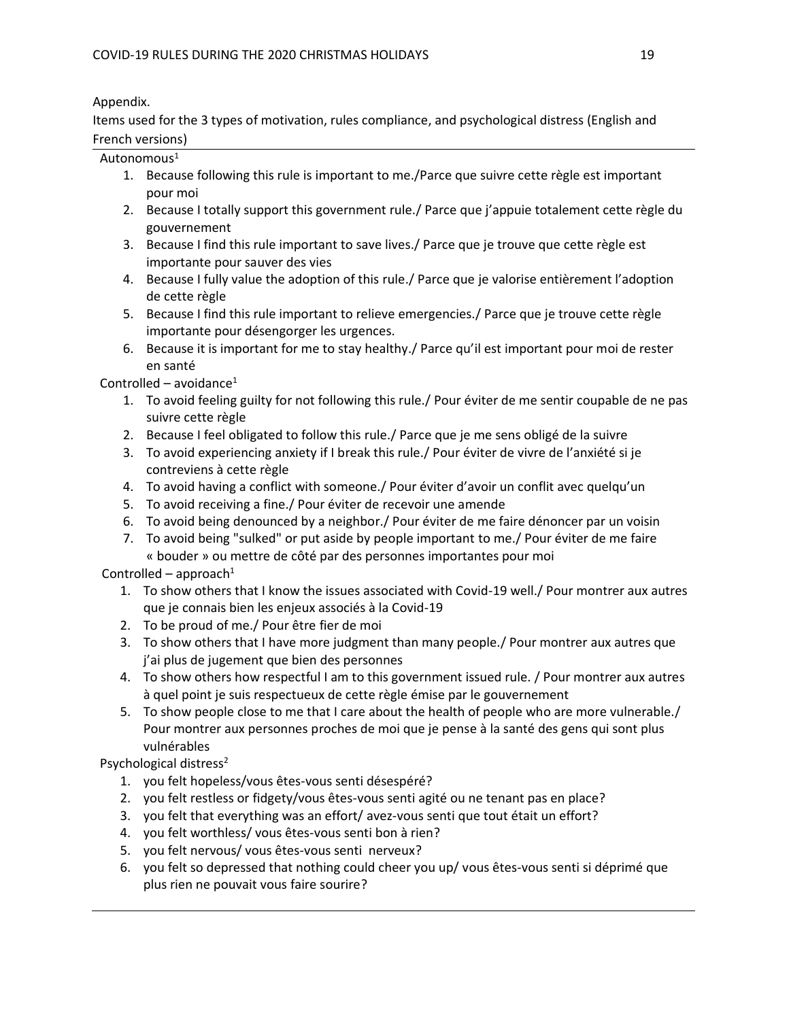# Appendix.

Items used for the 3 types of motivation, rules compliance, and psychological distress (English and French versions)

# Autonomous<sup>1</sup>

- 1. Because following this rule is important to me./Parce que suivre cette règle est important pour moi
- 2. Because I totally support this government rule./ Parce que j'appuie totalement cette règle du gouvernement
- 3. Because I find this rule important to save lives./ Parce que je trouve que cette règle est importante pour sauver des vies
- 4. Because I fully value the adoption of this rule./ Parce que je valorise entièrement l'adoption de cette règle
- 5. Because I find this rule important to relieve emergencies./ Parce que je trouve cette règle importante pour désengorger les urgences.
- 6. Because it is important for me to stay healthy./ Parce qu'il est important pour moi de rester en santé

Controlled – avoidance $1$ 

- 1. To avoid feeling guilty for not following this rule./ Pour éviter de me sentir coupable de ne pas suivre cette règle
- 2. Because I feel obligated to follow this rule./ Parce que je me sens obligé de la suivre
- 3. To avoid experiencing anxiety if I break this rule./ Pour éviter de vivre de l'anxiété si je contreviens à cette règle
- 4. To avoid having a conflict with someone./ Pour éviter d'avoir un conflit avec quelqu'un
- 5. To avoid receiving a fine./ Pour éviter de recevoir une amende
- 6. To avoid being denounced by a neighbor./ Pour éviter de me faire dénoncer par un voisin
- 7. To avoid being "sulked" or put aside by people important to me./ Pour éviter de me faire « bouder » ou mettre de côté par des personnes importantes pour moi

Controlled – approach $1$ 

- 1. To show others that I know the issues associated with Covid-19 well./ Pour montrer aux autres que je connais bien les enjeux associés à la Covid-19
- 2. To be proud of me./ Pour être fier de moi
- 3. To show others that I have more judgment than many people./ Pour montrer aux autres que j'ai plus de jugement que bien des personnes
- 4. To show others how respectful I am to this government issued rule. / Pour montrer aux autres à quel point je suis respectueux de cette règle émise par le gouvernement
- 5. To show people close to me that I care about the health of people who are more vulnerable./ Pour montrer aux personnes proches de moi que je pense à la santé des gens qui sont plus vulnérables

Psychological distress<sup>2</sup>

- 1. you felt hopeless/vous êtes-vous senti désespéré?
- 2. you felt restless or fidgety/vous êtes-vous senti agité ou ne tenant pas en place?
- 3. you felt that everything was an effort/ avez-vous senti que tout était un effort?
- 4. you felt worthless/ vous êtes-vous senti bon à rien?
- 5. you felt nervous/ vous êtes-vous senti nerveux?
- 6. you felt so depressed that nothing could cheer you up/ vous êtes-vous senti si déprimé que plus rien ne pouvait vous faire sourire?